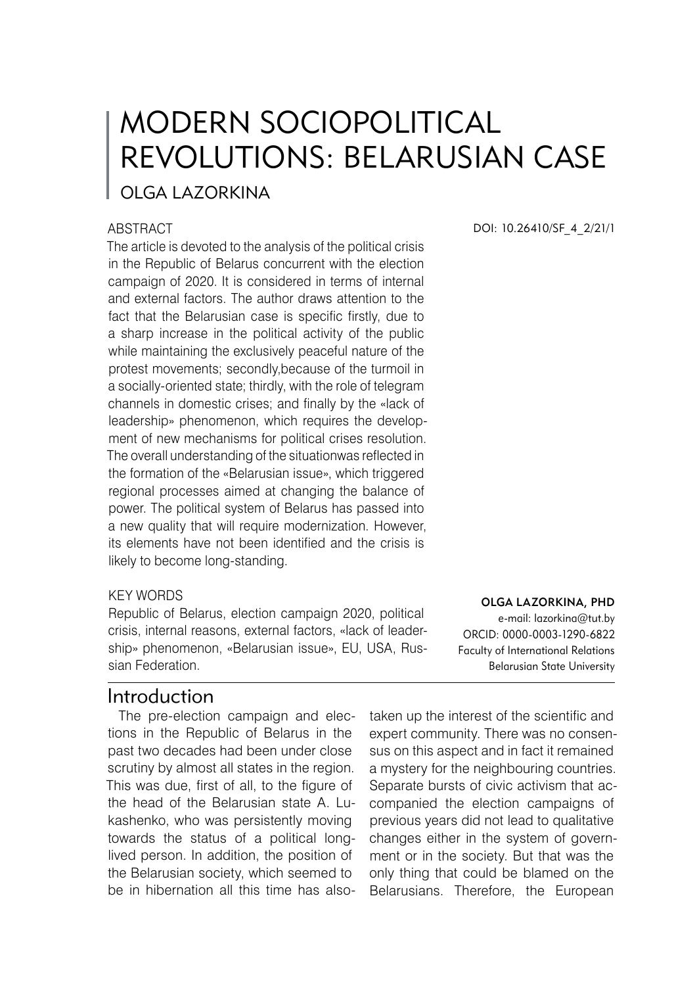# MODERN SOCIOPOLITICAL REVOLUTIONS: BELARUSIAN CASE

## OLGA LAZORKINA

#### **ABSTRACT**

The article is devoted to the analysis of the political crisis in the Republic of Belarus concurrent with the election campaign of 2020. It is considered in terms of internal and external factors. The author draws attention to the fact that the Belarusian case is specific firstly, due to a sharp increase in the political activity of the public while maintaining the exclusively peaceful nature of the protest movements; secondly,because of the turmoil in a socially-oriented state; thirdly, with the role of telegram channels in domestic crises; and finally by the «lack of leadership» phenomenon, which requires the development of new mechanisms for political crises resolution. The overall understanding of the situationwas reflected in the formation of the «Belarusian issue», which triggered regional processes aimed at changing the balance of power. The political system of Belarus has passed into a new quality that will require modernization. However, its elements have not been identified and the crisis is likely to become long-standing.

#### KEY WORDS

Republic of Belarus, election campaign 2020, political crisis, internal reasons, external factors, «lack of leadership» phenomenon, «Belarusian issue», EU, USA, Russian Federation.

#### Introduction

The pre-election campaign and elections in the Republic of Belarus in the past two decades had been under close scrutiny by almost all states in the region. This was due, first of all, to the figure of the head of the Belarusian state A. Lukashenko, who was persistently moving towards the status of a political longlived person. In addition, the position of the Belarusian society, which seemed to be in hibernation all this time has alsoDOI: 10.26410/SF\_4\_2/21/1

#### Olga Lazorkina, PhD

e-mail: lazorkina@tut.by ORCID: 0000-0003-1290-6822 Faculty of International Relations Belarusian State University

taken up the interest of the scientific and expert community. There was no consensus on this aspect and in fact it remained a mystery for the neighbouring countries. Separate bursts of civic activism that accompanied the election campaigns of previous years did not lead to qualitative changes either in the system of government or in the society. But that was the only thing that could be blamed on the Belarusians. Therefore, the European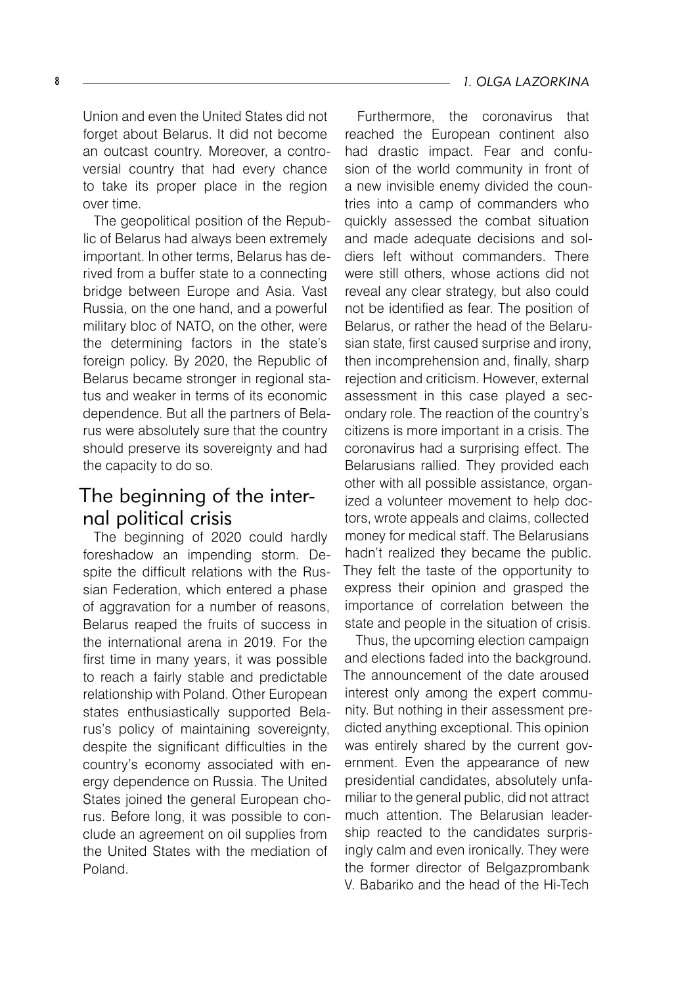Union and even the United States did not forget about Belarus. It did not become an outcast country. Moreover, a controversial country that had every chance to take its proper place in the region over time.

The geopolitical position of the Republic of Belarus had always been extremely important. In other terms, Belarus has derived from a buffer state to a connecting bridge between Europe and Asia. Vast Russia, on the one hand, and a powerful military bloc of NATO, on the other, were the determining factors in the state's foreign policy. By 2020, the Republic of Belarus became stronger in regional status and weaker in terms of its economic dependence. But all the partners of Belarus were absolutely sure that the country should preserve its sovereignty and had the capacity to do so.

## The beginning of the internal political crisis

The beginning of 2020 could hardly foreshadow an impending storm. Despite the difficult relations with the Russian Federation, which entered a phase of aggravation for a number of reasons, Belarus reaped the fruits of success in the international arena in 2019. For the first time in many years, it was possible to reach a fairly stable and predictable relationship with Poland. Other European states enthusiastically supported Belarus's policy of maintaining sovereignty, despite the significant difficulties in the country's economy associated with energy dependence on Russia. The United States joined the general European chorus. Before long, it was possible to conclude an agreement on oil supplies from the United States with the mediation of Poland.

Furthermore, the coronavirus that reached the European continent also had drastic impact. Fear and confusion of the world community in front of a new invisible enemy divided the countries into a camp of commanders who quickly assessed the combat situation and made adequate decisions and soldiers left without commanders. There were still others, whose actions did not reveal any clear strategy, but also could not be identified as fear. The position of Belarus, or rather the head of the Belarusian state, first caused surprise and irony, then incomprehension and, finally, sharp rejection and criticism. However, external assessment in this case played a secondary role. The reaction of the country's citizens is more important in a crisis. The coronavirus had a surprising effect. The Belarusians rallied. They provided each other with all possible assistance, organized a volunteer movement to help doctors, wrote appeals and claims, collected money for medical staff. The Belarusians hadn't realized they became the public. They felt the taste of the opportunity to express their opinion and grasped the importance of correlation between the state and people in the situation of crisis.

Thus, the upcoming election campaign and elections faded into the background. The announcement of the date aroused interest only among the expert community. But nothing in their assessment predicted anything exceptional. This opinion was entirely shared by the current government. Even the appearance of new presidential candidates, absolutely unfamiliar to the general public, did not attract much attention. The Belarusian leadership reacted to the candidates surprisingly calm and even ironically. They were the former director of Belgazprombank V. Babariko and the head of the Hi-Tech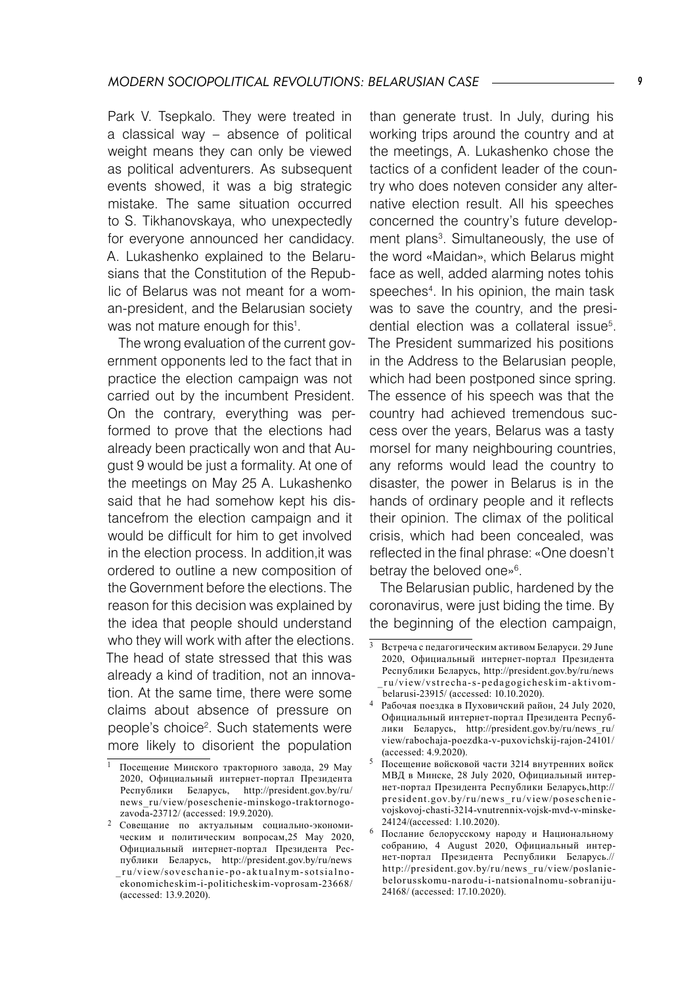Park V. Tsepkalo. They were treated in a classical way – absence of political weight means they can only be viewed as political adventurers. As subsequent events showed, it was a big strategic mistake. The same situation occurred to S. Tikhanovskaya, who unexpectedly for everyone announced her candidacy. A. Lukashenko explained to the Belarusians that the Constitution of the Republic of Belarus was not meant for a woman-president, and the Belarusian society was not mature enough for this<sup>1</sup>.

The wrong evaluation of the current government opponents led to the fact that in practice the election campaign was not carried out by the incumbent President. On the contrary, everything was performed to prove that the elections had already been practically won and that August 9 would be just a formality. At one of the meetings on May 25 A. Lukashenko said that he had somehow kept his distancefrom the election campaign and it would be difficult for him to get involved in the election process. In addition,it was ordered to outline a new composition of the Government before the elections. The reason for this decision was explained by the idea that people should understand who they will work with after the elections. The head of state stressed that this was already a kind of tradition, not an innovation. At the same time, there were some claims about absence of pressure on people's choice<sup>2</sup>. Such statements were more likely to disorient the population

than generate trust. In July, during his working trips around the country and at the meetings, A. Lukashenko chose the tactics of a confident leader of the country who does noteven consider any alternative election result. All his speeches concerned the country's future development plans . Simultaneously, the use of the word «Maidan», which Belarus might face as well, added alarming notes tohis speeches . In his opinion, the main task was to save the country, and the presidential election was a collateral issue<sup>5</sup>. The President summarized his positions in the Address to the Belarusian people, which had been postponed since spring. The essence of his speech was that the country had achieved tremendous success over the years, Belarus was a tasty morsel for many neighbouring countries, any reforms would lead the country to disaster, the power in Belarus is in the hands of ordinary people and it reflects their opinion. The climax of the political crisis, which had been concealed, was reflected in the final phrase: «One doesn't betray the beloved one» .

The Belarusian public, hardened by the coronavirus, were just biding the time. By the beginning of the election campaign,

Посещение Минского тракторного завода, 29 May 2020, Официальный интернет-портал Президента Республики Беларусь, http://president.gov.by/ru/ news\_ru/view/poseschenie-minskogo-traktornogozavoda-23712/ (accessed: 19.9.2020).

Совещание по актуальным социально-экономическим и политическим вопросам,25 May 2020, Официальный интернет-портал Президента Республики Беларусь, http://president.gov.by/ru/news ru/view/soveschanie-po-aktualnym-sotsialnoekonomicheskim-i-politicheskim-voprosam-23668/ (accessed: 13.9.2020).

Встреча с педагогическим активом Беларуси. 29 June 2020, Официальный интернет-портал Президента Республики Беларусь, http://president.gov.by/ru/news ru/view/vstrecha-s-pedagogicheskim-aktivombelarusi-23915/ (accessed: 10.10.2020).

Рабочая поездка в Пуховичский район, 24 July 2020, Официальный интернет-портал Президента Республики Беларусь, http://president.gov.by/ru/news\_ru/ view/rabochaja-poezdka-v-puxovichskij-rajon-24101/ (accessed: 4.9.2020).

Посещение войсковой части 3214 внутренних войск МВД в Минске, 28 July 2020, Официальный интернет-портал Президента Республики Беларусь,http:// president.gov.by/ru/news ru/view/poseschenievojskovoj-chasti-3214-vnutrennix-vojsk-mvd-v-minske-24124/(accessed: 1.10.2020).

Послание белорусскому народу и Национальному собранию, 4 August 2020, Официальный интернет-портал Президента Республики Беларусь.// http://president.gov.by/ru/news\_ru/view/poslaniebelor usskomu-na rodu-i-natsional nomu-sobraniju-24168/ (accessed: 17.10.2020).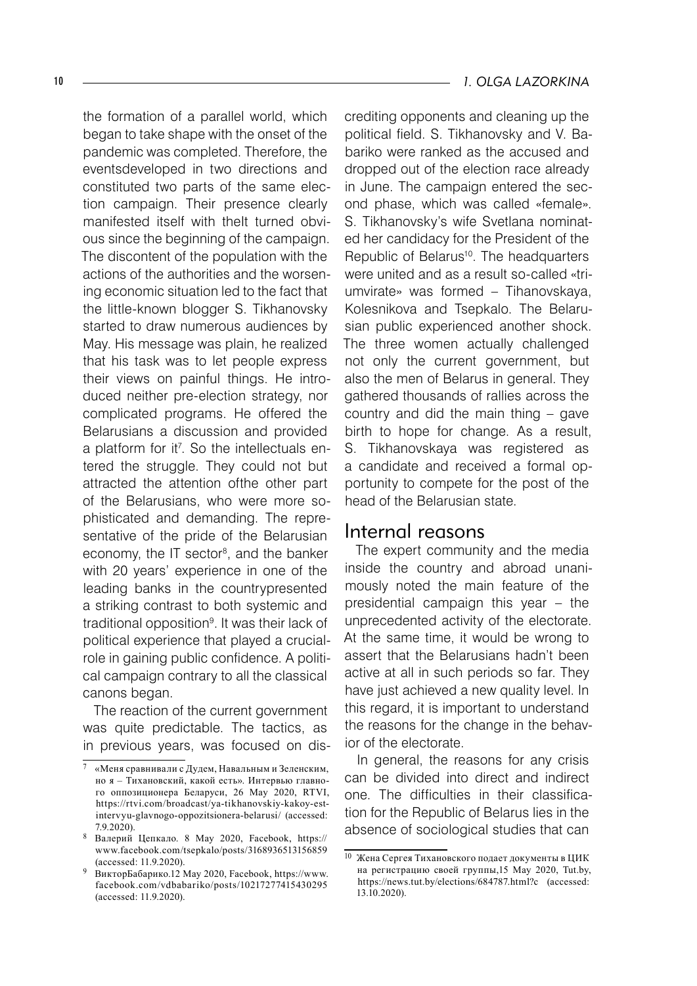the formation of a parallel world, which began to take shape with the onset of the pandemic was completed. Therefore, the eventsdeveloped in two directions and constituted two parts of the same election campaign. Their presence clearly manifested itself with theIt turned obvious since the beginning of the campaign. The discontent of the population with the actions of the authorities and the worsening economic situation led to the fact that the little-known blogger S. Tikhanovsky started to draw numerous audiences by May. His message was plain, he realized that his task was to let people express their views on painful things. He introduced neither pre-election strategy, nor complicated programs. He offered the Belarusians a discussion and provided a platform for it . So the intellectuals entered the struggle. They could not but attracted the attention ofthe other part of the Belarusians, who were more sophisticated and demanding. The representative of the pride of the Belarusian economy, the IT sector<sup>8</sup>, and the banker with 20 years' experience in one of the leading banks in the countrypresented a striking contrast to both systemic and traditional opposition<sup>9</sup>. It was their lack of political experience that played a crucialrole in gaining public confidence. A political campaign contrary to all the classical canons began.

The reaction of the current government was quite predictable. The tactics, as in previous years, was focused on discrediting opponents and cleaning up the political field. S. Tikhanovsky and V. Babariko were ranked as the accused and dropped out of the election race already in June. The campaign entered the second phase, which was called «female». S. Tikhanovsky's wife Svetlana nominated her candidacy for the President of the Republic of Belarus<sup>10</sup>. The headquarters were united and as a result so-called «triumvirate» was formed – Tihanovskaya, Kolesnikova and Tsepkalo. The Belarusian public experienced another shock. The three women actually challenged not only the current government, but also the men of Belarus in general. They gathered thousands of rallies across the country and did the main thing – gave birth to hope for change. As a result, S. Tikhanovskaya was registered as a candidate and received a formal opportunity to compete for the post of the head of the Belarusian state.

#### Internal reasons

The expert community and the media inside the country and abroad unanimously noted the main feature of the presidential campaign this year – the unprecedented activity of the electorate. At the same time, it would be wrong to assert that the Belarusians hadn't been active at all in such periods so far. They have just achieved a new quality level. In this regard, it is important to understand the reasons for the change in the behavior of the electorate.

In general, the reasons for any crisis can be divided into direct and indirect one. The difficulties in their classification for the Republic of Belarus lies in the absence of sociological studies that can

 $7$  «Меня сравнивали с Дудем, Навальным и Зеленским, но я – Тихановский, какой есть». Интервью главного оппозиционера Беларуси, 26 May 2020, RTVI, https://rtvi.com/broadcast/ya-tikhanovskiy-kakoy-estintervyu-glavnogo-oppozitsionera-belarusi/ (accessed: 7.9.2020).

Валерий Цепкало. 8 May 2020, Facebook, https:// www.facebook.com/tsepkalo/posts/3168936513156859 (accessed: 11.9.2020).

ВикторБабарико.12 May 2020, Facebook, https://www. facebook.com/vdbabariko/posts/10217277415430295 (accessed: 11.9.2020).

<sup>10</sup> Жена Сергея Тихановского подает документы в ЦИК на регистрацию своей группы,15 May 2020, Tut.by, https://news.tut.by/elections/684787.html?c (accessed: 13.10.2020).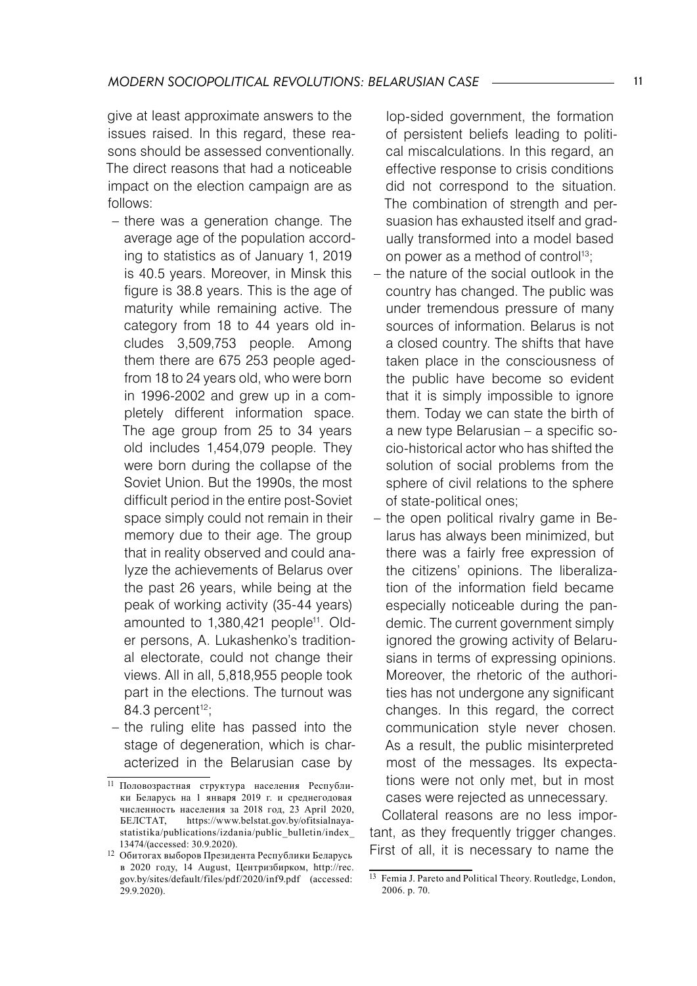give at least approximate answers to the issues raised. In this regard, these reasons should be assessed conventionally. The direct reasons that had a noticeable impact on the election campaign are as follows:

- there was a generation change. The average age of the population according to statistics as of January 1, 2019 is 40.5 years. Moreover, in Minsk this figure is 38.8 years. This is the age of maturity while remaining active. The category from 18 to 44 years old includes 3,509,753 people. Among them there are 675 253 people agedfrom 18 to 24 years old, who were born in 1996-2002 and grew up in a completely different information space. The age group from 25 to 34 years old includes 1,454,079 people. They were born during the collapse of the Soviet Union. But the 1990s, the most difficult period in the entire post-Soviet space simply could not remain in their memory due to their age. The group that in reality observed and could analyze the achievements of Belarus over the past 26 years, while being at the peak of working activity (35-44 years) amounted to 1,380,421 people<sup>11</sup>. Older persons, A. Lukashenko's traditional electorate, could not change their views. All in all, 5,818,955 people took part in the elections. The turnout was 84.3 percent $12$ ;
- the ruling elite has passed into the stage of degeneration, which is characterized in the Belarusian case by

lop-sided government, the formation of persistent beliefs leading to political miscalculations. In this regard, an effective response to crisis conditions did not correspond to the situation. The combination of strength and persuasion has exhausted itself and gradually transformed into a model based on power as a method of control<sup>13</sup>;

- the nature of the social outlook in the country has changed. The public was under tremendous pressure of many sources of information. Belarus is not a closed country. The shifts that have taken place in the consciousness of the public have become so evident that it is simply impossible to ignore them. Today we can state the birth of a new type Belarusian – a specific socio-historical actor who has shifted the solution of social problems from the sphere of civil relations to the sphere of state-political ones;
- the open political rivalry game in Belarus has always been minimized, but there was a fairly free expression of the citizens' opinions. The liberalization of the information field became especially noticeable during the pandemic. The current government simply ignored the growing activity of Belarusians in terms of expressing opinions. Moreover, the rhetoric of the authorities has not undergone any significant changes. In this regard, the correct communication style never chosen. As a result, the public misinterpreted most of the messages. Its expectations were not only met, but in most cases were rejected as unnecessary.

Collateral reasons are no less important, as they frequently trigger changes. First of all, it is necessary to name the

<sup>11</sup> Половозрастная структура населения Республики Беларусь на 1 января 2019 г. и среднегодовая численность населения за 2018 год, 23 April 2020, https://www.belstat.gov.by/ofitsialnayastatistika/publications/izdania/public\_bulletin/index 13474/(accessed: 30.9.2020).

<sup>12</sup> Обитогах выборов Президента Республики Беларусь в 2020 году, 14 August, Центризбирком, http://rec. gov.by/sites/default/files/pdf/2020/inf9.pdf (accessed: 29.9.2020).

<sup>13</sup> Femia J. Pareto and Political Theory. Routledge, London, 2006. p. 70.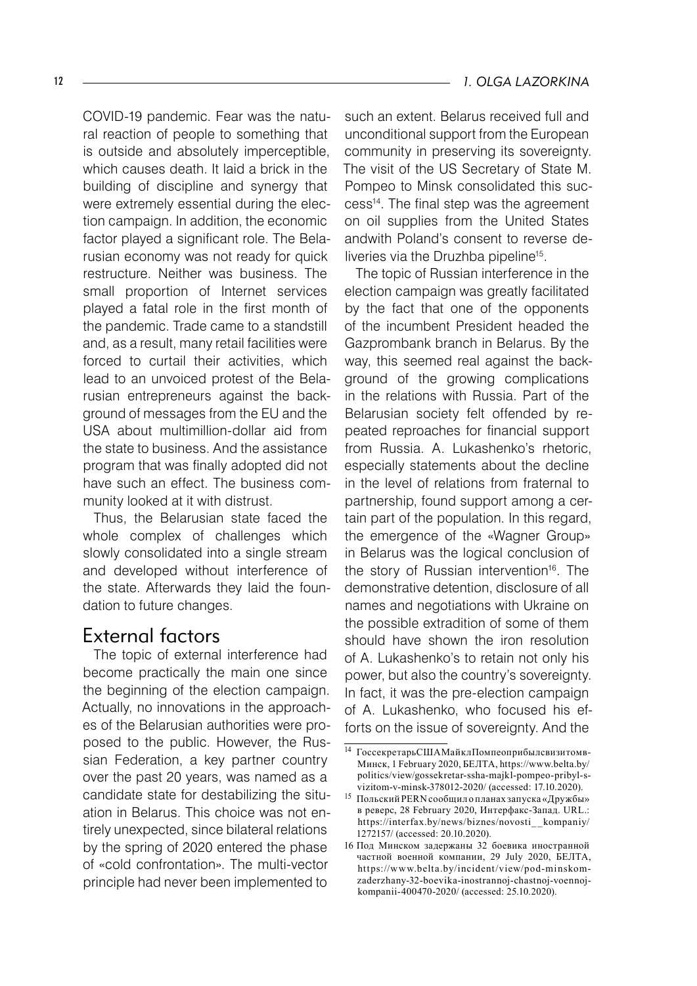COVID-19 pandemic. Fear was the natural reaction of people to something that is outside and absolutely imperceptible, which causes death. It laid a brick in the building of discipline and synergy that were extremely essential during the election campaign. In addition, the economic factor played a significant role. The Belarusian economy was not ready for quick restructure. Neither was business. The small proportion of Internet services played a fatal role in the first month of the pandemic. Trade came to a standstill and, as a result, many retail facilities were forced to curtail their activities, which lead to an unvoiced protest of the Belarusian entrepreneurs against the background of messages from the EU and the USA about multimillion-dollar aid from the state to business. And the assistance program that was finally adopted did not have such an effect. The business community looked at it with distrust.

Thus, the Belarusian state faced the whole complex of challenges which slowly consolidated into a single stream and developed without interference of the state. Afterwards they laid the foundation to future changes.

#### External factors

The topic of external interference had become practically the main one since the beginning of the election campaign. Actually, no innovations in the approaches of the Belarusian authorities were proposed to the public. However, the Russian Federation, a key partner country over the past 20 years, was named as a candidate state for destabilizing the situation in Belarus. This choice was not entirely unexpected, since bilateral relations by the spring of 2020 entered the phase of «cold confrontation». The multi-vector principle had never been implemented to

such an extent. Belarus received full and unconditional support from the European community in preserving its sovereignty. The visit of the US Secretary of State M. Pompeo to Minsk consolidated this success14 . The final step was the agreement on oil supplies from the United States andwith Poland's consent to reverse deliveries via the Druzhba pipeline<sup>15</sup>.

The topic of Russian interference in the election campaign was greatly facilitated by the fact that one of the opponents of the incumbent President headed the Gazprombank branch in Belarus. By the way, this seemed real against the background of the growing complications in the relations with Russia. Part of the Belarusian society felt offended by repeated reproaches for financial support from Russia. A. Lukashenko's rhetoric, especially statements about the decline in the level of relations from fraternal to partnership, found support among a certain part of the population. In this regard, the emergence of the «Wagner Group» in Belarus was the logical conclusion of the story of Russian intervention<sup>16</sup>. The demonstrative detention, disclosure of all names and negotiations with Ukraine on the possible extradition of some of them should have shown the iron resolution of A. Lukashenko's to retain not only his power, but also the country's sovereignty. In fact, it was the pre-election campaign of A. Lukashenko, who focused his efforts on the issue of sovereignty. And the

<sup>14</sup> ГоссекретарьСШАМайклПомпеоприбылсвизитомв-Минск, 1 February 2020, БЕЛТА, https://www.belta.by/ politics/view/gossekretar-ssha-majkl-pompeo-pribyl-svizitom-v-minsk-378012-2020/ (accessed: 17.10.2020).

<sup>&</sup>lt;sup>15</sup> Польский PERN сообщил о планах запуска «Дружбы» в реверс, 28 February 2020, Интерфакс-Запад. URL.: https://interfax.by/news/biznes/novosti\_ \_kompaniy/ 1272157/ (accessed: 20.10.2020).

<sup>16</sup> Под Минском задержаны 32 боевика иностранной частной военной компании, 29 July 2020, БЕЛТА, https://www.belta.by/incident/view/pod-minskomzaderzhany-32-boevika-inostrannoj-chastnoj-voennojkompanii-400470-2020/ (accessed: 25.10.2020).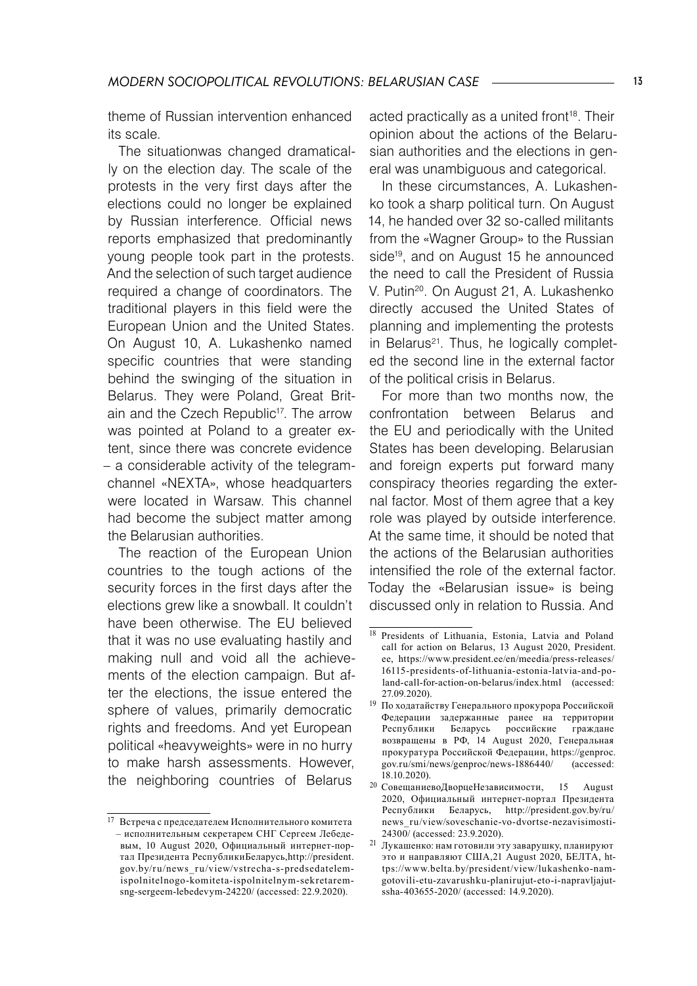theme of Russian intervention enhanced its scale.

The situationwas changed dramatically on the election day. The scale of the protests in the very first days after the elections could no longer be explained by Russian interference. Official news reports emphasized that predominantly young people took part in the protests. And the selection of such target audience required a change of coordinators. The traditional players in this field were the European Union and the United States. On August 10, A. Lukashenko named specific countries that were standing behind the swinging of the situation in Belarus. They were Poland, Great Britain and the Czech Republic<sup>17</sup>. The arrow was pointed at Poland to a greater extent, since there was concrete evidence – a considerable activity of the telegramchannel «NEXTA», whose headquarters were located in Warsaw. This channel had become the subject matter among the Belarusian authorities.

The reaction of the European Union countries to the tough actions of the security forces in the first days after the elections grew like a snowball. It couldn't have been otherwise. The EU believed that it was no use evaluating hastily and making null and void all the achievements of the election campaign. But after the elections, the issue entered the sphere of values, primarily democratic rights and freedoms. And yet European political «heavyweights» were in no hurry to make harsh assessments. However, the neighboring countries of Belarus

acted practically as a united front<sup>18</sup>. Their opinion about the actions of the Belarusian authorities and the elections in general was unambiguous and categorical.

In these circumstances, A. Lukashenko took a sharp political turn. On August 14, he handed over 32 so-called militants from the «Wagner Group» to the Russian side<sup>19</sup>, and on August 15 he announced the need to call the President of Russia V. Putin20. On August 21, A. Lukashenko directly accused the United States of planning and implementing the protests in Belarus<sup>21</sup>. Thus, he logically completed the second line in the external factor of the political crisis in Belarus.

For more than two months now, the confrontation between Belarus and the EU and periodically with the United States has been developing. Belarusian and foreign experts put forward many conspiracy theories regarding the external factor. Most of them agree that a key role was played by outside interference. At the same time, it should be noted that the actions of the Belarusian authorities intensified the role of the external factor. Today the «Belarusian issue» is being discussed only in relation to Russia. And

<sup>17</sup> Встреча с председателем Исполнительного комитета – исполнительным секретарем СНГ Сергеем Лебедевым, 10 August 2020, Официальный интернет-портал Президента РеспубликиБеларусь,http://president. gov.by/ru/news\_ru/view/vstrecha-s-predsedatelemispolnitelnogo-komiteta-ispolnitelnym-sek retaremsng-sergeem-lebedevym-24220/ (accessed: 22.9.2020).

<sup>&</sup>lt;sup>18</sup> Presidents of Lithuania, Estonia, Latvia and Poland call for action on Belarus, 13 August 2020, President. ee, https://www.president.ee/en/meedia/press-releases/ 16115-presidents-of-lithuania-estonia-latvia-and-poland-call-for-action-on-belarus/index.html (accessed: 27.09.2020).

<sup>19</sup> По ходатайству Генерального прокурора Российской Федерации задержанные ранее на территории Республики Беларусь российские граждане возвращены в РФ, 14 August 2020, Генеральная прокуратура Российской Федерации, https://genproc. gov.ru/smi/news/genproc/news-1886440/ (accessed: 18.10.2020).

<sup>20</sup> СовещаниевоДворцеНезависимости, 15 August 2020, Официальный интернет-портал Президента Республики Беларусь, http://president.gov.by/ru/ news\_ru/view/soveschanie-vo-dvortse-nezavisimosti-24300/ (accessed: 23.9.2020).

 $^{21}\,$ Лукашенко: нам готовили эту заварушку, планируют это и направляют США,21 August 2020, БЕЛТА, https://www.belta.by/president/view/lukashenko-namgotovili-etu-zavarushku-planirujut-eto-i-napravljajutssha-403655-2020/ (accessed: 14.9.2020).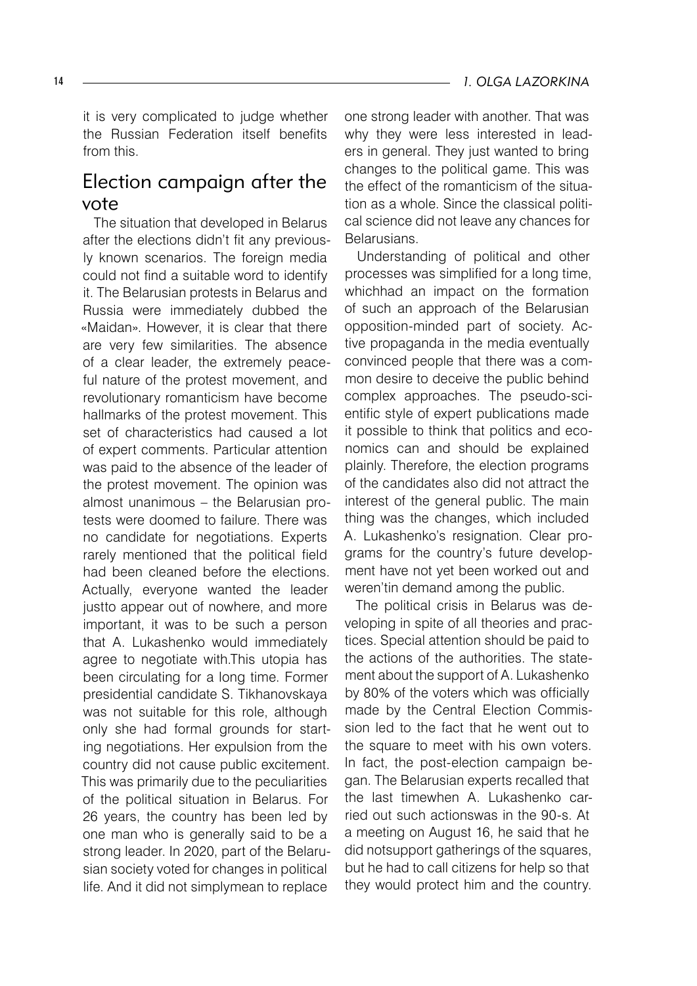it is very complicated to judge whether the Russian Federation itself benefits from this.

## Election campaign after the vote

The situation that developed in Belarus after the elections didn't fit any previously known scenarios. The foreign media could not find a suitable word to identify it. The Belarusian protests in Belarus and Russia were immediately dubbed the «Maidan». However, it is clear that there are very few similarities. The absence of a clear leader, the extremely peaceful nature of the protest movement, and revolutionary romanticism have become hallmarks of the protest movement. This set of characteristics had caused a lot of expert comments. Particular attention was paid to the absence of the leader of the protest movement. The opinion was almost unanimous – the Belarusian protests were doomed to failure. There was no candidate for negotiations. Experts rarely mentioned that the political field had been cleaned before the elections. Actually, everyone wanted the leader justto appear out of nowhere, and more important, it was to be such a person that A. Lukashenko would immediately agree to negotiate with.This utopia has been circulating for a long time. Former presidential candidate S. Tikhanovskaya was not suitable for this role, although only she had formal grounds for starting negotiations. Her expulsion from the country did not cause public excitement. This was primarily due to the peculiarities of the political situation in Belarus. For 26 years, the country has been led by one man who is generally said to be a strong leader. In 2020, part of the Belarusian society voted for changes in political life. And it did not simplymean to replace

one strong leader with another. That was why they were less interested in leaders in general. They just wanted to bring changes to the political game. This was the effect of the romanticism of the situation as a whole. Since the classical political science did not leave any chances for **Belarusians** 

Understanding of political and other processes was simplified for a long time, whichhad an impact on the formation of such an approach of the Belarusian opposition-minded part of society. Active propaganda in the media eventually convinced people that there was a common desire to deceive the public behind complex approaches. The pseudo-scientific style of expert publications made it possible to think that politics and economics can and should be explained plainly. Therefore, the election programs of the candidates also did not attract the interest of the general public. The main thing was the changes, which included A. Lukashenko's resignation. Clear programs for the country's future development have not yet been worked out and weren'tin demand among the public.

The political crisis in Belarus was developing in spite of all theories and practices. Special attention should be paid to the actions of the authorities. The statement about the support of A. Lukashenko by 80% of the voters which was officially made by the Central Election Commission led to the fact that he went out to the square to meet with his own voters. In fact, the post-election campaign began. The Belarusian experts recalled that the last timewhen A. Lukashenko carried out such actionswas in the 90-s. At a meeting on August 16, he said that he did notsupport gatherings of the squares, but he had to call citizens for help so that they would protect him and the country.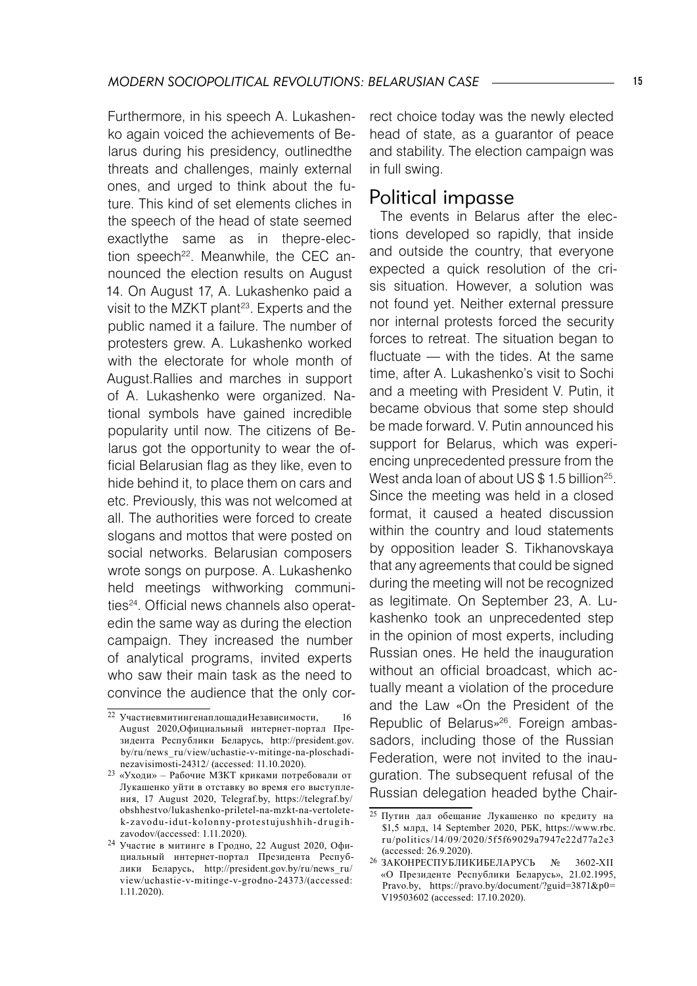Furthermore, in his speech A. Lukashenko again voiced the achievements of Belarus during his presidency, outlinedthe threats and challenges, mainly external ones, and urged to think about the future. This kind of set elements cliches in the speech of the head of state seemed exactlythe same as in thepre-election speech<sup>22</sup>. Meanwhile, the CEC announced the election results on August 14. On August 17, A. Lukashenko paid a visit to the MZKT plant<sup>23</sup>. Experts and the public named it a failure. The number of protesters grew. A. Lukashenko worked with the electorate for whole month of August.Rallies and marches in support of A. Lukashenko were organized. National symbols have gained incredible popularity until now. The citizens of Belarus got the opportunity to wear the official Belarusian flag as they like, even to hide behind it, to place them on cars and etc. Previously, this was not welcomed at all. The authorities were forced to create slogans and mottos that were posted on social networks. Belarusian composers wrote songs on purpose. A. Lukashenko held meetings withworking communities<sup>24</sup>. Official news channels also operatedin the same way as during the election campaign. They increased the number of analytical programs, invited experts who saw their main task as the need to convince the audience that the only correct choice today was the newly elected head of state, as a guarantor of peace and stability. The election campaign was in full swing.

## Political impasse

The events in Belarus after the elections developed so rapidly, that inside and outside the country, that everyone expected a quick resolution of the crisis situation. However, a solution was not found yet. Neither external pressure nor internal protests forced the security forces to retreat. The situation began to fluctuate — with the tides. At the same time, after A. Lukashenko's visit to Sochi and a meeting with President V. Putin, it became obvious that some step should be made forward. V. Putin announced his support for Belarus, which was experiencing unprecedented pressure from the West anda loan of about US  $$1.5$  billion<sup>25</sup>. Since the meeting was held in a closed format, it caused a heated discussion within the country and loud statements by opposition leader S. Tikhanovskaya that any agreements that could be signed during the meeting will not be recognized as legitimate. On September 23, A. Lukashenko took an unprecedented step in the opinion of most experts, including Russian ones. He held the inauguration without an official broadcast, which actually meant a violation of the procedure and the Law «On the President of the Republic of Belarus»26 . Foreign ambassadors, including those of the Russian Federation, were not invited to the inauguration. The subsequent refusal of the Russian delegation headed bythe Chair-

 $\overline{22}$  УчастиевмитингенаплощадиНезависимости, 16 August 2020,Официальный интернет-портал Президента Республики Беларусь, http://president.gov. by/ru/news\_ru/view/uchastie-v-mitinge-na-ploschadinezavisimosti-24312/ (accessed: 11.10.2020).

<sup>23 «</sup>Уходи» – Рабочие МЗКТ криками потребовали от Лукашенко уйти в отставку во время его выступления, 17 August 2020, Telegraf.by, https://telegraf.by/ obshhestvo/lukashenko-priletel-na-mzkt-na-vertoletek-zavodu-idut-kolonny-protestujushhih-drugihzavodov/(accessed: 1.11.2020).

<sup>24</sup> Участие в митинге в Гродно, 22 August 2020, Официальный интернет-портал Президента Республики Беларусь, http://president.gov.by/ru/news\_ru/ view/uchastie-v-mitinge-v-grodno-24373/(accessed: 1.11.2020).

<sup>25</sup> Путин дал обещание Лукашенко по кредиту на \$1,5 млрд, 14 September 2020, РБК, https://www.rbc. r u/politics/14/09/2020/5f5f69029a7947e22d77a2e3 (accessed: 26.9.2020).

<sup>26</sup> ЗАКОНРЕСПУБЛИКИБЕЛАРУСЬ № 3602-XІІ «О Президенте Республики Беларусь», 21.02.1995, Pravo.by, https://pravo.by/document/?guid=3871&p0= V19503602 (accessed: 17.10.2020).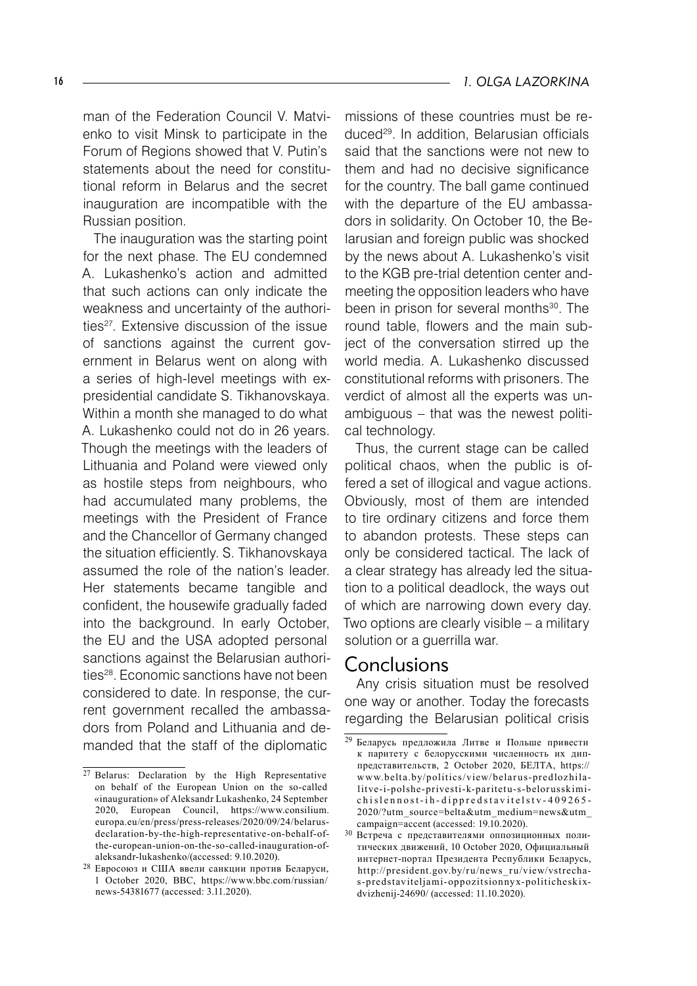man of the Federation Council V. Matvienko to visit Minsk to participate in the Forum of Regions showed that V. Putin's statements about the need for constitutional reform in Belarus and the secret inauguration are incompatible with the Russian position.

The inauguration was the starting point for the next phase. The EU condemned A. Lukashenko's action and admitted that such actions can only indicate the weakness and uncertainty of the authorities<sup>27</sup>. Extensive discussion of the issue of sanctions against the current government in Belarus went on along with a series of high-level meetings with expresidential candidate S. Tikhanovskaya. Within a month she managed to do what A. Lukashenko could not do in 26 years. Though the meetings with the leaders of Lithuania and Poland were viewed only as hostile steps from neighbours, who had accumulated many problems, the meetings with the President of France and the Chancellor of Germany changed the situation efficiently. S. Tikhanovskaya assumed the role of the nation's leader. Her statements became tangible and confident, the housewife gradually faded into the background. In early October, the EU and the USA adopted personal sanctions against the Belarusian authorities<sup>28</sup>. Economic sanctions have not been considered to date. In response, the current government recalled the ambassadors from Poland and Lithuania and demanded that the staff of the diplomatic

missions of these countries must be reduced29. In addition, Belarusian officials said that the sanctions were not new to them and had no decisive significance for the country. The ball game continued with the departure of the EU ambassadors in solidarity. On October 10, the Belarusian and foreign public was shocked by the news about A. Lukashenko's visit to the KGB pre-trial detention center andmeeting the opposition leaders who have been in prison for several months<sup>30</sup>. The round table, flowers and the main subject of the conversation stirred up the world media. A. Lukashenko discussed constitutional reforms with prisoners. The verdict of almost all the experts was unambiguous – that was the newest political technology.

Thus, the current stage can be called political chaos, when the public is offered a set of illogical and vague actions. Obviously, most of them are intended to tire ordinary citizens and force them to abandon protests. These steps can only be considered tactical. The lack of a clear strategy has already led the situation to a political deadlock, the ways out of which are narrowing down every day. Two options are clearly visible – a military solution or a guerrilla war.

#### Conclusions

Any crisis situation must be resolved one way or another. Today the forecasts regarding the Belarusian political crisis

 $27$  Belarus: Declaration by the High Representative on behalf of the European Union on the so-called «inauguration» of Aleksandr Lukashenko, 24 September 2020, European Council, https://www.consilium. europa.eu/en/press/press-releases/2020/09/24/belarusdeclaration-by-the-high-representative-on-behalf-ofthe-european-union-on-the-so-called-inauguration-ofaleksandr-lukashenko/(accessed: 9.10.2020).

<sup>28</sup> Евросоюз и США ввели санкции против Беларуси, 1 October 2020, BBC, https://www.bbc.com/russian/ news-54381677 (accessed: 3.11.2020).

<sup>29</sup> Беларусь предложила Литве и Польше привести к паритету с белорусскими численность их диппредставительств, 2 October 2020, БЕЛТА, https:// www.belta.by/politics/view/belarus-predlozhilalitve-i-polshe-privesti-k-paritetu-s-belorusskimichislennost-ih-dippredstavitelstv-409265-2020/?utm\_source=belta&utm\_medium=news&utm\_ campaign=accent (accessed: 19.10.2020).

<sup>30</sup> Встреча с представителями оппозиционных политических движений, 10 October 2020, Официальный интернет-портал Президента Республики Беларусь, http://president.gov.by/ru/news\_ru/view/vstrechas-predstaviteljami-oppozitsionnyx-politicheskixdvizhenij-24690/ (accessed: 11.10.2020).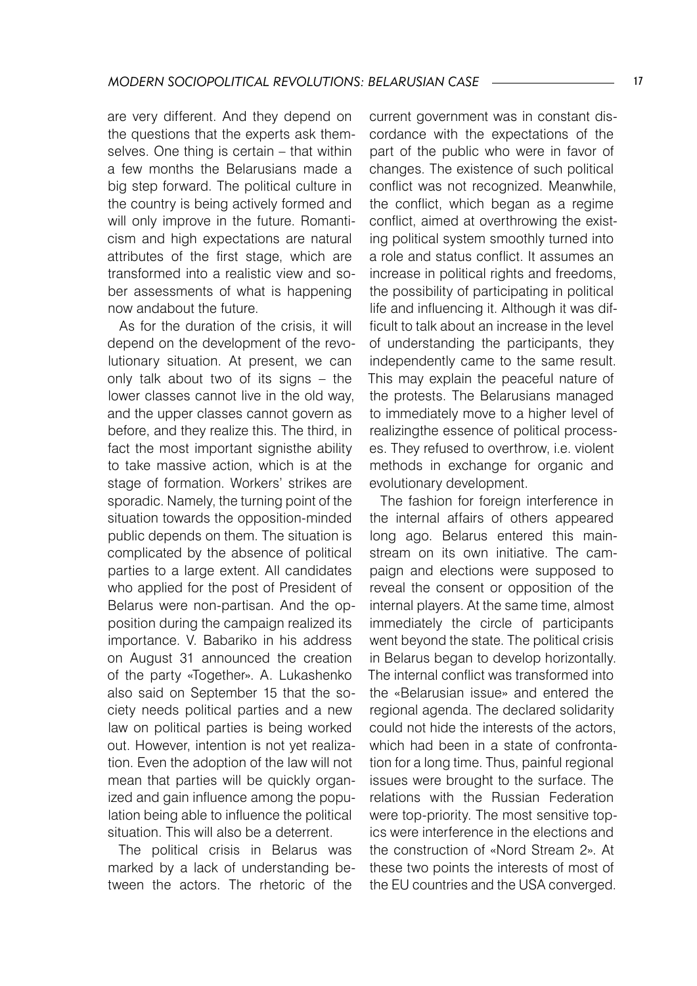are very different. And they depend on the questions that the experts ask themselves. One thing is certain – that within a few months the Belarusians made a big step forward. The political culture in the country is being actively formed and will only improve in the future. Romanticism and high expectations are natural attributes of the first stage, which are transformed into a realistic view and sober assessments of what is happening now andabout the future.

As for the duration of the crisis, it will depend on the development of the revolutionary situation. At present, we can only talk about two of its signs – the lower classes cannot live in the old way, and the upper classes cannot govern as before, and they realize this. The third, in fact the most important signisthe ability to take massive action, which is at the stage of formation. Workers' strikes are sporadic. Namely, the turning point of the situation towards the opposition-minded public depends on them. The situation is complicated by the absence of political parties to a large extent. All candidates who applied for the post of President of Belarus were non-partisan. And the opposition during the campaign realized its importance. V. Babariko in his address on August 31 announced the creation of the party «Together». A. Lukashenko also said on September 15 that the society needs political parties and a new law on political parties is being worked out. However, intention is not yet realization. Even the adoption of the law will not mean that parties will be quickly organized and gain influence among the population being able to influence the political situation. This will also be a deterrent.

The political crisis in Belarus was marked by a lack of understanding between the actors. The rhetoric of the

current government was in constant discordance with the expectations of the part of the public who were in favor of changes. The existence of such political conflict was not recognized. Meanwhile, the conflict, which began as a regime conflict, aimed at overthrowing the existing political system smoothly turned into a role and status conflict. It assumes an increase in political rights and freedoms, the possibility of participating in political life and influencing it. Although it was difficult to talk about an increase in the level of understanding the participants, they independently came to the same result. This may explain the peaceful nature of the protests. The Belarusians managed to immediately move to a higher level of realizingthe essence of political processes. They refused to overthrow, i.e. violent methods in exchange for organic and evolutionary development.

The fashion for foreign interference in the internal affairs of others appeared long ago. Belarus entered this mainstream on its own initiative. The campaign and elections were supposed to reveal the consent or opposition of the internal players. At the same time, almost immediately the circle of participants went beyond the state. The political crisis in Belarus began to develop horizontally. The internal conflict was transformed into the «Belarusian issue» and entered the regional agenda. The declared solidarity could not hide the interests of the actors, which had been in a state of confrontation for a long time. Thus, painful regional issues were brought to the surface. The relations with the Russian Federation were top-priority. The most sensitive topics were interference in the elections and the construction of «Nord Stream 2». At these two points the interests of most of the EU countries and the USA converged.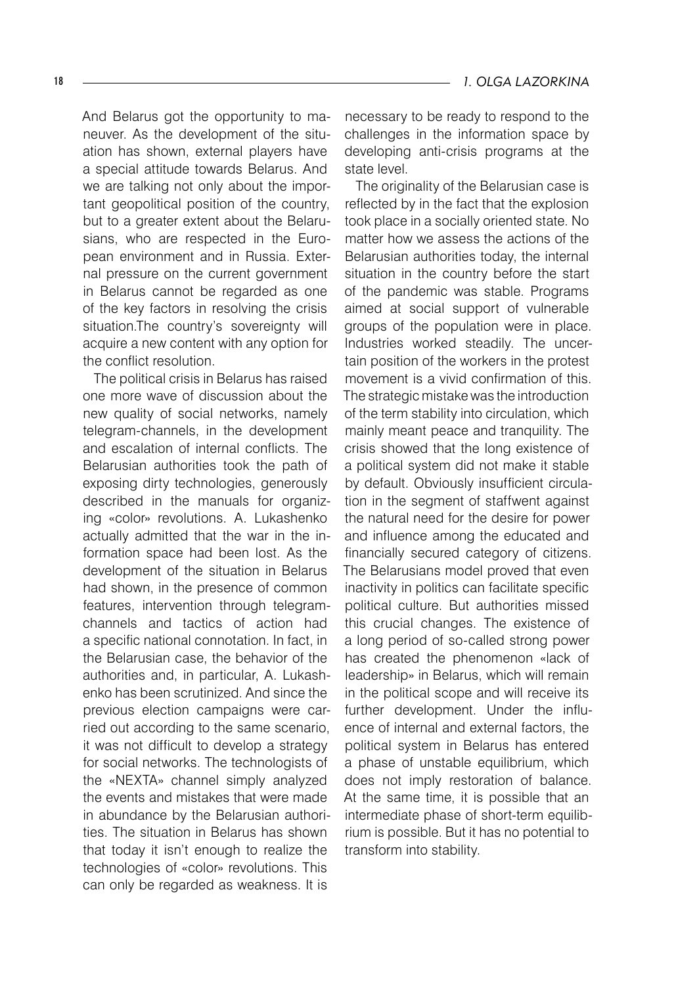And Belarus got the opportunity to maneuver. As the development of the situation has shown, external players have a special attitude towards Belarus. And we are talking not only about the important geopolitical position of the country, but to a greater extent about the Belarusians, who are respected in the European environment and in Russia. External pressure on the current government in Belarus cannot be regarded as one of the key factors in resolving the crisis situation.The country's sovereignty will acquire a new content with any option for the conflict resolution.

The political crisis in Belarus has raised one more wave of discussion about the new quality of social networks, namely telegram-channels, in the development and escalation of internal conflicts. The Belarusian authorities took the path of exposing dirty technologies, generously described in the manuals for organizing «color» revolutions. A. Lukashenko actually admitted that the war in the information space had been lost. As the development of the situation in Belarus had shown, in the presence of common features, intervention through telegramchannels and tactics of action had a specific national connotation. In fact, in the Belarusian case, the behavior of the authorities and, in particular, A. Lukashenko has been scrutinized. And since the previous election campaigns were carried out according to the same scenario, it was not difficult to develop a strategy for social networks. The technologists of the «NEXTA» channel simply analyzed the events and mistakes that were made in abundance by the Belarusian authorities. The situation in Belarus has shown that today it isn't enough to realize the technologies of «color» revolutions. This can only be regarded as weakness. It is

necessary to be ready to respond to the challenges in the information space by developing anti-crisis programs at the state level.

The originality of the Belarusian case is reflected by in the fact that the explosion took place in a socially oriented state. No matter how we assess the actions of the Belarusian authorities today, the internal situation in the country before the start of the pandemic was stable. Programs aimed at social support of vulnerable groups of the population were in place. Industries worked steadily. The uncertain position of the workers in the protest movement is a vivid confirmation of this. The strategic mistake was the introduction of the term stability into circulation, which mainly meant peace and tranquility. The crisis showed that the long existence of a political system did not make it stable by default. Obviously insufficient circulation in the segment of staffwent against the natural need for the desire for power and influence among the educated and financially secured category of citizens. The Belarusians model proved that even inactivity in politics can facilitate specific political culture. But authorities missed this crucial changes. The existence of a long period of so-called strong power has created the phenomenon «lack of leadership» in Belarus, which will remain in the political scope and will receive its further development. Under the influence of internal and external factors, the political system in Belarus has entered a phase of unstable equilibrium, which does not imply restoration of balance. At the same time, it is possible that an intermediate phase of short-term equilibrium is possible. But it has no potential to transform into stability.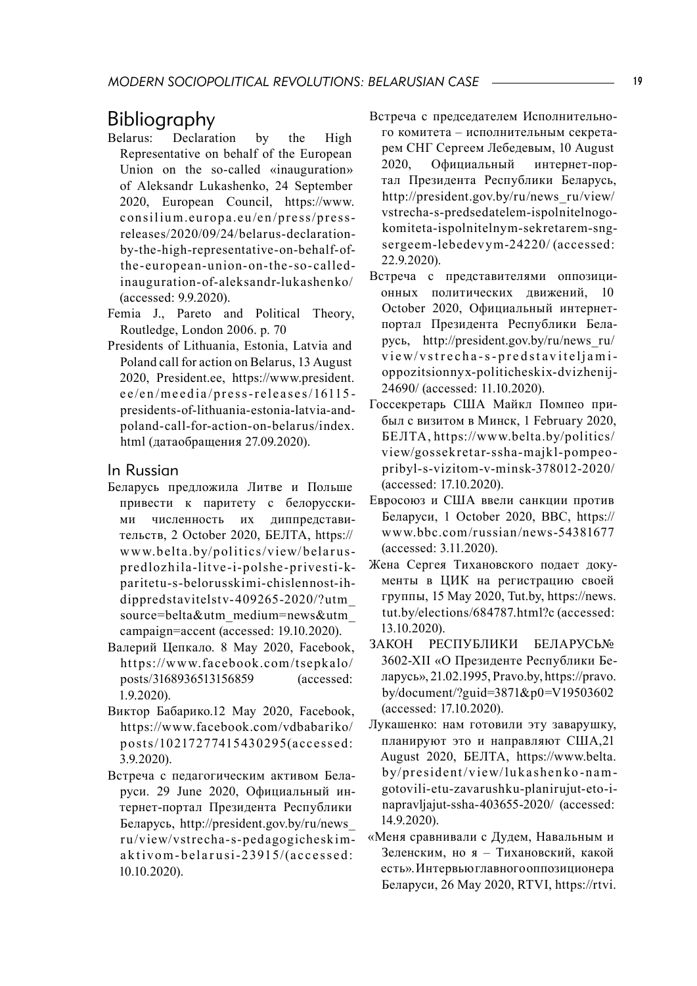## Bibliography<br>Belarus: Declarar

- Declaration by the High Representative on behalf of the European Union on the so-called «inauguration» of Aleksandr Lukashenko, 24 September 2020, European Council, https://www. consilium.europa.eu/en/press/pressreleases/2020/09/24/belarus-declarationby-the-high-representative-on-behalf-ofthe -eu ropean -u nion - on -the -so -called inauguration-of-aleksandr-lukashenko/ (accessed: 9.9.2020).
- Femia J., Pareto and Political Theory, Routledge, London 2006. p. 70
- Presidents of Lithuania, Estonia, Latvia and Poland call for action on Belarus, 13 August 2020, President.ee, https://www.president. e e/en/meedia/press-releases/16115presidents-of-lithuania-estonia-latvia-andpoland-call-for-action-on-belarus/index. html (датаобращения 27.09.2020).

#### In Russian

- Беларусь предложила Литве и Польше привести к паритету с белорусскими численность их диппредставительств, 2 October 2020, БЕЛТА, https:// www.belta.by/politics/view/belarusp redloz hila -lit ve -i-polshe -p rivesti-kparitetu-s-belorusskimi-chislennost-ihdippredstavitelstv- 409265-2020/?utm\_ source=belta&utm\_medium=news&utm\_ campaign=accent (accessed: 19.10.2020).
- Валерий Цепкало. 8 May 2020, Facebook, https://www.facebook.com/tsepkalo/ posts/3168936513156859 (accessed: 1.9.2020).
- Виктор Бабарико.12 May 2020, Facebook, https://www.facebook.com/vdbabariko/ posts/10217277415430295(accessed: 3.9.2020).
- Встреча с педагогическим активом Беларуси. 29 June 2020, Официальный интернет-портал Президента Республики Беларусь, http://president.gov.by/ru/news\_ r u/view/vst recha-s -pedagogicheskim aktivom-belarusi-23915/(accessed: 10.10.2020).
- Встреча с председателем Исполнительного комитета – исполнительным секретарем СНГ Сергеем Лебедевым, 10 August 2020, Официальный интернет-портал Президента Республики Беларусь, http://president.gov.by/ru/news\_ru/view/ vstrecha-s-predsedatelem-ispolnitelnogokomiteta-ispolnitelnym-sekretarem-sngsergeem-lebedev ym-24220/ (accessed: 22.9.2020).
- Встреча с представителями оппозиционных политических лвижений, October 2020, Официальный интернетпортал Президента Республики Беларусь, http://president.gov.by/ru/news\_ru/ view/vstrecha-s-predstaviteljamioppozitsionnyx-politicheskix-dvizhenij-24690/ (accessed: 11.10.2020).
- Госсекретарь США Майкл Помпео прибыл с визитом в Минск, 1 February 2020, БЕЛТА, htt ps://www.belta.by/politics/ view/gossek retar-ssha-majkl-pompeopribyl-s-vizitom-v-minsk-378012-2020/ (accessed: 17.10.2020).
- Евросоюз и США ввели санкции против Беларуси, 1 October 2020, BBC, https:// www.bbc.com/russian/news-54381677 (accessed: 3.11.2020).
- Жена Сергея Тихановского подает документы в ЦИК на регистрацию своей группы, 15 May 2020, Tut.by, https://news. tut.by/elections/684787.html?c (accessed: 13.10.2020).
- ЗАКОН РЕСПУБЛИКИ БЕЛАРУСЬ№ 3602-XІІ «О Президенте Республики Беларусь», 21.02.1995, Pravo.by, https://pravo. by/document/?guid=3871&p0=V19503602 (accessed: 17.10.2020).
- Лукашенко: нам готовили эту заварушку, планируют это и направляют США,21 August 2020, БЕЛТА, https://www.belta. by/president/view/lukashenko-namgotovili-etu-zavarushku-planirujut-eto-inapravljajut-ssha-403655-2020/ (accessed: 14.9.2020).
- «Меня сравнивали с Дудем, Навальным и Зеленским, но я – Тихановский, какой есть».Интервьюглавногооппозиционера Беларуси, 26 May 2020, RTVI, https://rtvi.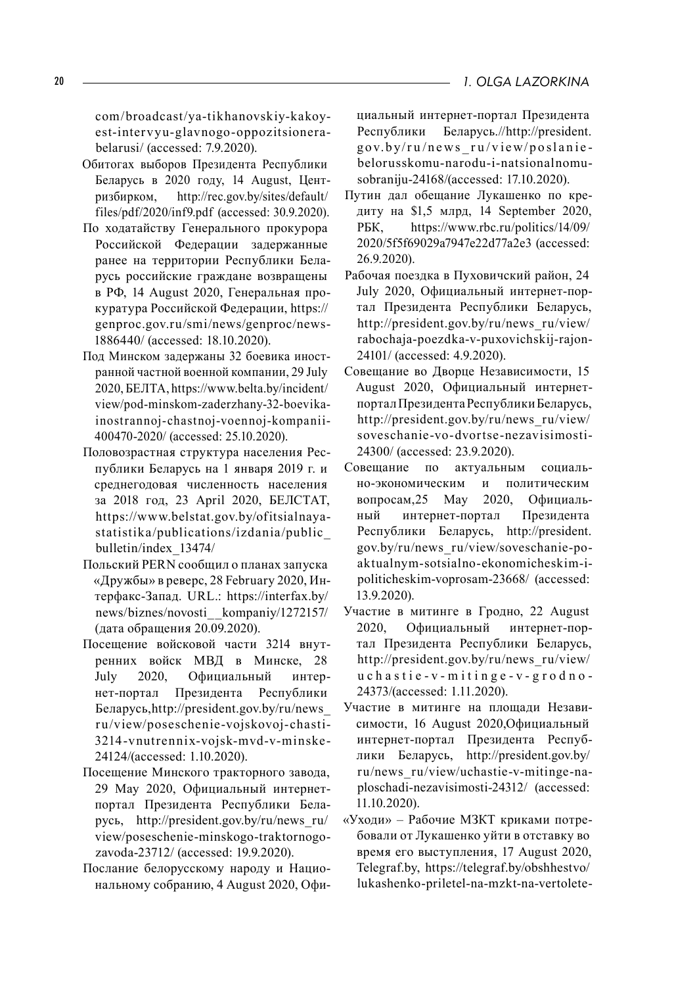com/broadcast/ya-tikhanovskiy-kakoyest-inter vy u-glavnogo -oppozitsionerabelarusi/ (accessed: 7.9.2020).

- Обитогах выборов Президента Республики Беларусь в 2020 году, 14 August, Центризбирком, http://rec.gov.by/sites/default/ files/pdf/2020/inf9.pdf (accessed: 30.9.2020).
- По ходатайству Генерального прокурора Российской Федерации задержанные ранее на территории Республики Беларусь российские граждане возвращены в РФ, 14 August 2020, Генеральная прокуратура Российской Федерации, https:// genproc.gov.ru/smi/news/genproc/news-1886440/ (accessed: 18.10.2020).
- Под Минском задержаны 32 боевика иностранной частной военной компании, 29 July 2020, БЕЛТА, https://www.belta.by/incident/ view/pod-minskom-zaderzhany-32-boevikainostrannoj-chastnoj-voennoj-kompanii-400470-2020/ (accessed: 25.10.2020).
- Половозрастная структура населения Республики Беларусь на 1 января 2019 г. и среднегодовая численность населения за 2018 год, 23 April 2020, БЕЛСТАТ, https://www.belstat.gov.by/ofitsialnayastatistika/publications/izdania/public\_ bulletin/index\_13474/
- Польский PERN сообщил о планах запуска «Дружбы» в реверс, 28 February 2020, Интерфакс-Запад. URL.: https://interfax.by/ news/biznes/novosti\_\_kompaniy/1272157/ (дата обращения 20.09.2020).
- Посещение войсковой части 3214 внутренних войск МВД в Минске, 28 July 2020, Официальный интернет-портал Президента Республики Беларусь,http://president.gov.by/ru/news\_ r u/view/poseschenie -vojskovoj-chasti-3214 -v nut ren nix-vojsk-mvd-v-minske - 24124/(accessed: 1.10.2020).
- Посещение Минского тракторного завода, 29 May 2020, Официальный интернетпортал Президента Республики Беларусь, http://president.gov.by/ru/news\_ru/ view/poseschenie-minskogo-traktornogozavoda-23712/ (accessed: 19.9.2020).
- Послание белорусскому народу и Национальному собранию, 4 August 2020, Офи-

циальный интернет-портал Президента Республики Беларусь.//http://president.  $gov.bv/ru/news$   $ru/view/poslanie$ belorusskomu-narodu-i-natsionalnomusobraniju-24168/(accessed: 17.10.2020).

- Путин дал обещание Лукашенко по кредиту на \$1,5 млрд, 14 September 2020, РБК, https://www.rbc.ru/politics/14/09/ 2020/5f5f69029a7947e22d77a2e3 (accessed: 26.9.2020).
- Рабочая поездка в Пуховичский район, 24 July 2020, Официальный интернет-портал Президента Республики Беларусь, http://president.gov.by/ru/news\_ru/view/ rabochaja-poezdka-v-puxovichskij-rajon-24101/ (accessed: 4.9.2020).
- Совещание во Дворце Независимости, 15 August 2020, Официальный интернетпорталПрезидентаРеспубликиБеларусь, http://president.gov.by/ru/news\_ru/view/ soveschanie -vo -dvortse -nezavisimosti-24300/ (accessed: 23.9.2020).
- Совещание по актуальным социально-экономическим и политическим вопросам,25 May 2020, Официальный интернет-портал Президента Республики Беларусь, http://president. gov.by/ru/news\_ru/view/soveschanie-poaktualnym-sotsialno-ekonomicheskim-ipoliticheskim-voprosam-23668/ (accessed: 13.9.2020).
- Участие в митинге в Гродно, 22 August 2020, Официальный интернет-портал Президента Республики Беларусь, http://president.gov.by/ru/news\_ru/view/ u c h a s t i e - v - m i t i n g e - v - g r o d n o - 24373/(accessed: 1.11.2020).
- Участие в митинге на площади Независимости, 16 August 2020,Официальный интернет-портал Президента Республики Беларусь, http://president.gov.by/ ru/news\_ru/view/uchastie-v-mitinge-naploschadi-nezavisimosti-24312/ (accessed: 11.10.2020).
- «Уходи» Рабочие МЗКТ криками потребовали от Лукашенко уйти в отставку во время его выступления, 17 August 2020, Telegraf.by, https://telegraf.by/obshhestvo/ lukashenko-priletel-na-mzkt-na-vertolete-